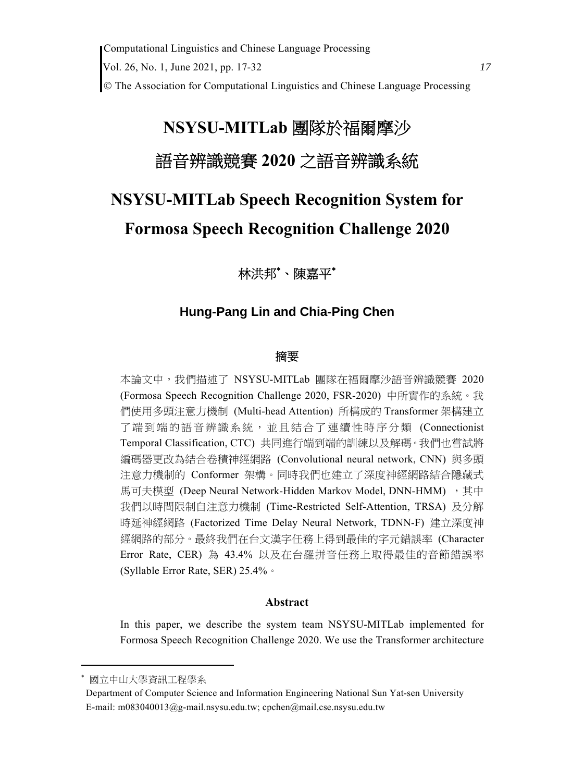# **NSYSU-MITLab** 團隊於福爾摩沙 語音辨識競賽 **2020** 之語音辨識系統

# **NSYSU-MITLab Speech Recognition System for Formosa Speech Recognition Challenge 2020**

# 林洪邦 、陳嘉平

# **Hung-Pang Lin and Chia-Ping Chen**

# 摘要

本論文中,我們描述了 NSYSU-MITLab 團隊在福爾摩沙語音辨識競賽 2020 (Formosa Speech Recognition Challenge 2020, FSR-2020) 中所實作的系統。我 們使用多頭注意力機制 (Multi-head Attention) 所構成的 Transformer 架構建立 了端到端的語音辨識系統,並且結合了連續性時序分類 (Connectionist Temporal Classification, CTC) 共同進行端到端的訓練以及解碼。我們也嘗試將 編碼器更改為結合卷積神經網路 (Convolutional neural network, CNN) 與多頭 注意力機制的 Conformer 架構。同時我們也建立了深度神經網路結合隱藏式 馬可夫模型 (Deep Neural Network-Hidden Markov Model, DNN-HMM), 其中 我們以時間限制自注意力機制 (Time-Restricted Self-Attention, TRSA) 及分解 時延神經網路 (Factorized Time Delay Neural Network, TDNN-F) 建立深度神 經網路的部分。最終我們在台文漢字任務上得到最佳的字元錯誤率 (Character Error Rate, CER) 為 43.4% 以及在台羅拼音任務上取得最佳的音節錯誤率 (Syllable Error Rate, SER) 25.4%。

# **Abstract**

In this paper, we describe the system team NSYSU-MITLab implemented for Formosa Speech Recognition Challenge 2020. We use the Transformer architecture

國立中山大學資訊工程學系

Department of Computer Science and Information Engineering National Sun Yat-sen University E-mail: m083040013@g-mail.nsysu.edu.tw; cpchen@mail.cse.nsysu.edu.tw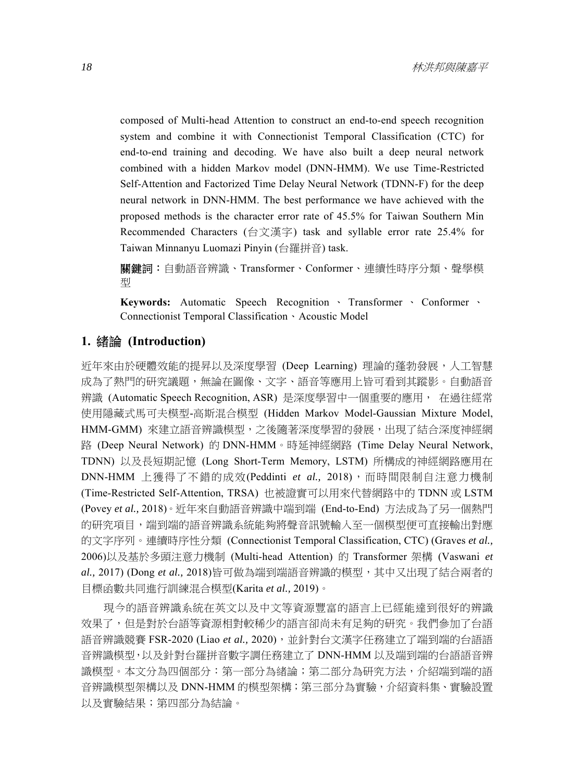composed of Multi-head Attention to construct an end-to-end speech recognition system and combine it with Connectionist Temporal Classification (CTC) for end-to-end training and decoding. We have also built a deep neural network combined with a hidden Markov model (DNN-HMM). We use Time-Restricted Self-Attention and Factorized Time Delay Neural Network (TDNN-F) for the deep neural network in DNN-HMM. The best performance we have achieved with the proposed methods is the character error rate of 45.5% for Taiwan Southern Min Recommended Characters (台文漢字) task and syllable error rate 25.4% for Taiwan Minnanyu Luomazi Pinyin (台羅拼音) task.

關鍵詞:自動語音辨識、Transformer、Conformer、連續性時序分類、聲學模 型

**Keywords:** Automatic Speech Recognition 、 Transformer 、 Conformer 、 Connectionist Temporal Classification、Acoustic Model

#### **1.** 緒論 **(Introduction)**

近年來由於硬體效能的提昇以及深度學習 (Deep Learning) 理論的蓬勃發展,人工智慧 成為了熱門的研究議題,無論在圖像、文字、語音等應用上皆可看到其蹤影。自動語音 辨識 (Automatic Speech Recognition, ASR) 是深度學習中一個重要的應用, 在過往經常 使用隱藏式馬可夫模型-高斯混合模型 (Hidden Markov Model-Gaussian Mixture Model, HMM-GMM) 來建立語音辨識模型,之後隨著深度學習的發展,出現了結合深度神經網 路 (Deep Neural Network) 的 DNN-HMM。時延神經網路 (Time Delay Neural Network, TDNN) 以及長短期記憶 (Long Short-Term Memory, LSTM) 所構成的神經網路應用在 DNN-HMM 上獲得了不錯的成效(Peddinti *et al.,* 2018),而時間限制自注意力機制 (Time-Restricted Self-Attention, TRSA) 也被證實可以用來代替網路中的 TDNN 或 LSTM (Povey *et al.,* 2018)。近年來自動語音辨識中端到端 (End-to-End) 方法成為了另一個熱門 的研究項目,端到端的語音辨識系統能夠將聲音訊號輸入至一個模型便可直接輸出對應 的文字序列。連續時序性分類 (Connectionist Temporal Classification, CTC) (Graves *et al.,* 2006)以及基於多頭注意力機制 (Multi-head Attention) 的 Transformer 架構 (Vaswani *et al.,* 2017) (Dong *et al.,* 2018)皆可做為端到端語音辨識的模型,其中又出現了結合兩者的 目標函數共同進行訓練混合模型(Karita *et al.,* 2019)。

現今的語音辨識系統在英文以及中文等資源豐富的語言上已經能達到很好的辨識 效果了,但是對於台語等資源相對較稀少的語言卻尚未有足夠的研究。我們參加了台語 語音辨識競賽 FSR-2020 (Liao et al., 2020), 並針對台文漢字任務建立了端到端的台語語 音辨識模型,以及針對台羅拼音數字調任務建立了 DNN-HMM 以及端到端的台語語音辨 識模型。本文分為四個部分:第一部分為緒論;第二部分為研究方法,介紹端到端的語 音辨識模型架構以及 DNN-HMM 的模型架構;第三部分為實驗,介紹資料集、實驗設置 以及實驗結果;第四部分為結論。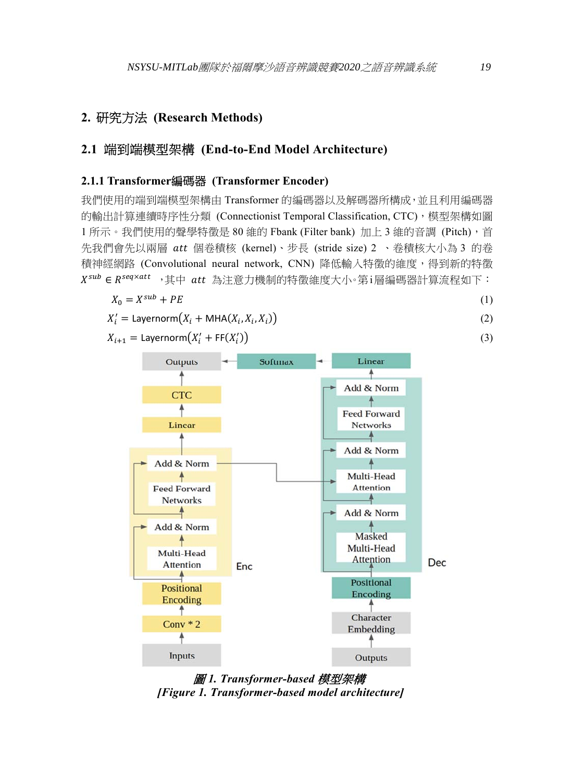# **2.** 研究方法 **(Research Methods)**

# **2.1** 端到端模型架構 **(End-to-End Model Architecture)**

#### **2.1.1 Transformer**編碼器 **(Transformer Encoder)**

我們使用的端到端模型架構由 Transformer 的編碼器以及解碼器所構成,並且利用編碼器 的輸出計算連續時序性分類 (Connectionist Temporal Classification, CTC),模型架構如圖 1 所示。我們使用的聲學特徵是 80 維的 Fbank (Filter bank) 加上 3 維的音調 (Pitch), 首 先我們會先以兩層 att 個卷積核 (kernel)、步長 (stride size) 2 、卷積核大小為 3 的卷 積神經網路 (Convolutional neural network, CNN) 降低輸入特徵的維度,得到新的特徵  $X^{sub}$  ∈  $R^{seq \times att}$ , 其中 att 為注意力機制的特徵維度大小。第i層編碼器計算流程如下:

$$
X_0 = X^{sub} + PE \tag{1}
$$

$$
X'_{i} = \text{Layernorm}\big(X_{i} + \text{MHA}(X_{i}, X_{i}, X_{i})\big) \tag{2}
$$

 $X_{i+1} = \textsf{Layernorm}(X_i' + \textsf{FF}(X_i'))$  $\left(3\right)$ 



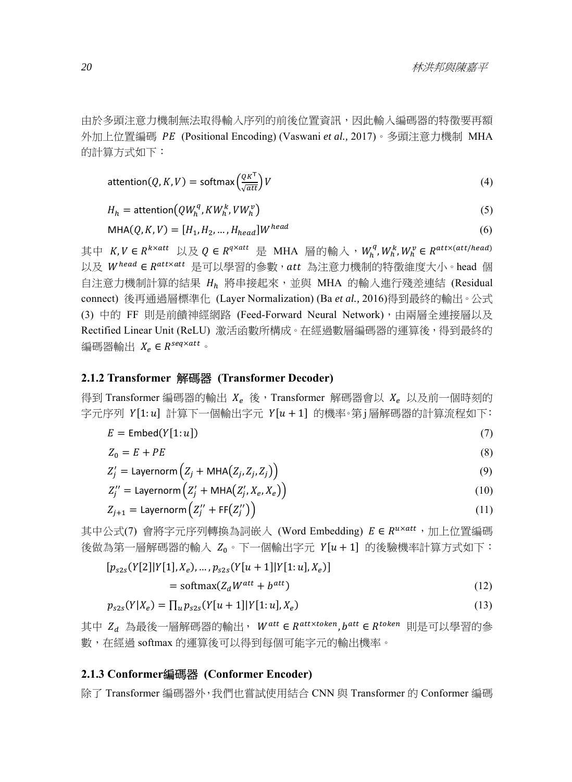由於多頭注意力機制無法取得輸入序列的前後位置資訊,因此輸入編碼器的特徵要再額 外加上位置編碼 PE (Positional Encoding) (Vaswani *et al.*, 2017)。多頭注意力機制 MHA 的計算方式如下:

$$
attention(Q, K, V) = softmax\left(\frac{QK^{T}}{\sqrt{att}}\right)V\tag{4}
$$

$$
H_h = \text{attention}(QW_h^q, KW_h^k, VW_h^v) \tag{5}
$$

$$
MHA(Q, K, V) = [H_1, H_2, ..., H_{head}]W^{head}
$$
\n(6)

其中  $K,V\in R^{k\times att}$  以及 $Q\in R^{q\times att}$  是 MHA 層的輸入, $W_{h}^{q},W_{h}^{k},W_{h}^{v}\in R^{att\times (att/head)}$ 以及 Whead ∈ Ratt×att 是可以學習的參數, att 為注意力機制的特徵維度大小。head 個 自注意力機制計算的結果  $H_h$  將串接起來,並與 MHA 的輸入進行殘差連結 (Residual connect) 後再通過層標準化 (Layer Normalization) (Ba *et al.,* 2016)得到最終的輸出。公式 (3) 中的 FF 則是前饋神經網路 (Feed-Forward Neural Network),由兩層全連接層以及 Rectified Linear Unit (ReLU) 激活函數所構成。在經過數層編碼器的運算後,得到最終的 編碼器輸出  $X_e \in R^{seq \times att}$ 

#### **2.1.2 Transformer** 解碼器 **(Transformer Decoder)**

得到 Transformer 編碼器的輸出  $X_e$  後, Transformer 解碼器會以  $X_e$  以及前一個時刻的 字元序列  $Y[1: u]$  計算下一個輸出字元  $Y[u + 1]$  的機率。第 j層解碼器的計算流程如下:

$$
E = \text{Embed}(Y[1:u]) \tag{7}
$$

$$
Z_0 = E + PE \tag{8}
$$

$$
Z'_{j} = \text{Layernorm}\left(Z_{j} + \text{MHA}\left(Z_{j}, Z_{j}, Z_{j}\right)\right) \tag{9}
$$

$$
Z_j^{\prime\prime} = \text{Layernorm}\left(Z_j^{\prime} + \text{MHA}\left(Z_j^{\prime}, X_e, X_e\right)\right) \tag{10}
$$

$$
Z_{j+1} = \text{Layernorm}\left(Z_j'' + \text{FF}\left(Z_j''\right)\right) \tag{11}
$$

其中公式(7) 會將字元序列轉換為詞嵌入 (Word Embedding)  $E \in R^{u \times att}$ , 加上位置編碼 後做為第一層解碼器的輸入  $Z_0$ 。下一個輸出字元  $Y[u+1]$  的後驗機率計算方式如下:

$$
[p_{s2s}(Y[2]|Y[1], X_e), \dots, p_{s2s}(Y[u+1]|Y[1:u], X_e)]
$$

$$
= \text{softmax}(Z_d W^{att} + b^{att}) \tag{12}
$$

$$
p_{s2s}(Y|X_e) = \prod_u p_{s2s}(Y[u+1]|Y[1:u],X_e)
$$
\n(13)

其中  $Z_d$  為最後一層解碼器的輸出,  $W^{att} \in R^{att \times token}$ ,  $b^{att} \in R^{token}$  則是可以學習的參 數,在經過 softmax 的運算後可以得到每個可能字元的輸出機率。

#### **2.1.3 Conformer**編碼器 **(Conformer Encoder)**

除了 Transformer 編碼器外,我們也嘗試使用結合 CNN 與 Transformer 的 Conformer 編碼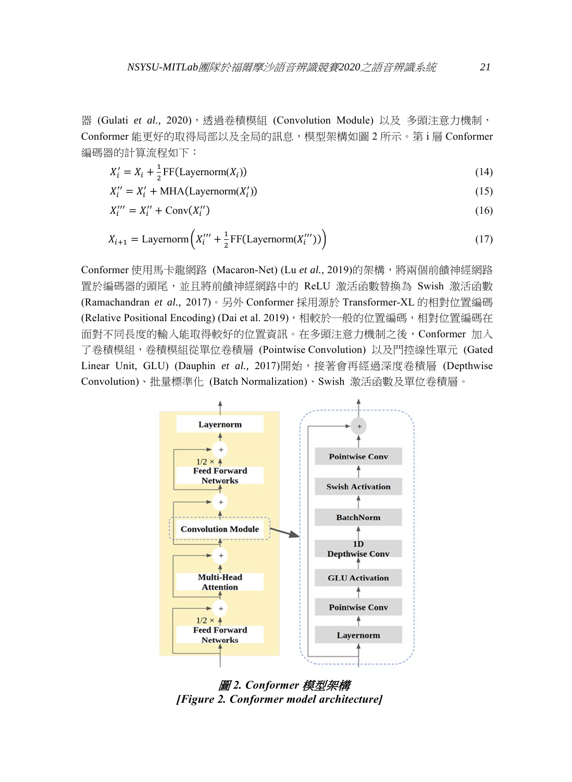器 (Gulati et al., 2020), 透過卷積模組 (Convolution Module) 以及 多頭注意力機制, Conformer 能更好的取得局部以及全局的訊息,模型架構如圖 2 所示。第 i 層 Conformer 編碼器的計算流程如下:

$$
X'_{i} = X_{i} + \frac{1}{2} \text{FF}(\text{Layernorm}(X_{i}))
$$
\n(14)

$$
X_i'' = X_i' + \text{MHA}(\text{Layernorm}(X_i')) \tag{15}
$$

$$
X_i^{\prime\prime\prime} = X_i^{\prime\prime} + \text{Conv}(X_i^{\prime\prime})\tag{16}
$$

$$
X_{i+1} = \text{Layernorm}\left(X_i'' + \frac{1}{2}\text{FF}(\text{Layernorm}(X_i'''))\right) \tag{17}
$$

Conformer 使用馬卡龍網路 (Macaron-Net) (Lu *et al.,* 2019)的架構,將兩個前饋神經網路 置於編碼器的頭尾,並且將前饋神經網路中的 ReLU 激活函數替換為 Swish 激活函數 (Ramachandran *et al.,* 2017)。另外 Conformer 採用源於 Transformer-XL 的相對位置編碼 (Relative Positional Encoding) (Dai et al. 2019),相較於一般的位置編碼,相對位置編碼在 面對不同長度的輸入能取得較好的位置資訊。在多頭注意力機制之後,Conformer 加入 了卷積模組,卷積模組從單位卷積層 (Pointwise Convolution) 以及門控線性單元 (Gated Linear Unit, GLU) (Dauphin et al., 2017)開始,接著會再經過深度卷積層 (Depthwise Convolution)、批量標準化 (Batch Normalization)、Swish 激活函數及單位卷積層。



圖 *2. Conformer* 模型架構 *[Figure 2. Conformer model architecture]*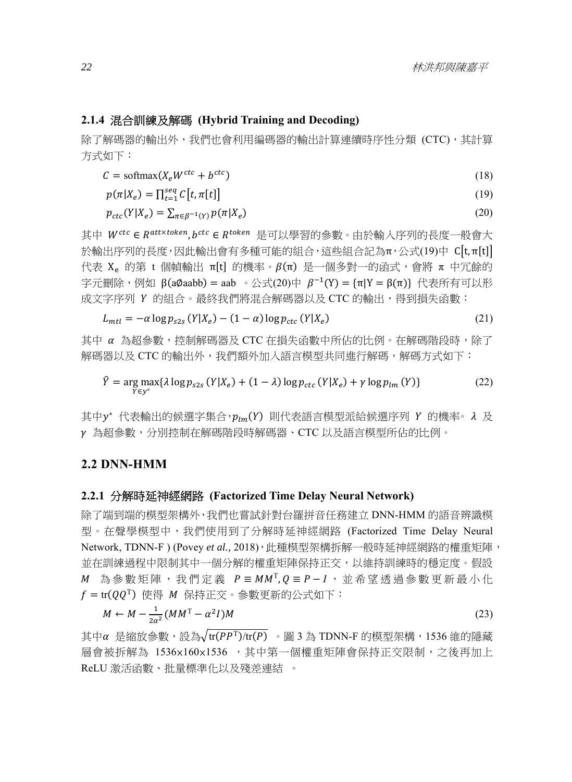#### **2.1.4** 混合訓練及解碼 **(Hybrid Training and Decoding)**

除了解碼器的輸出外,我們也會利用編碼器的輸出計算連續時序性分類 (CTC),其計算 方式如下:

$$
C = \text{softmax}(X_e W^{ctc} + b^{ctc})
$$
\n<sup>(18)</sup>

$$
p(\pi|X_e) = \prod_{t=1}^{seq} C[t, \pi[t]] \tag{19}
$$

$$
p_{ctc}(Y|X_e) = \sum_{\pi \in \beta^{-1}(Y)} p(\pi | X_e)
$$
\n<sup>(20)</sup>

其中 W<sup>ctc</sup> ∈ R<sup>att×token</sup>, b<sup>ctc</sup> ∈ R<sup>token</sup> 是可以學習的參數。由於輸入序列的長度一般會大 於輸出序列的長度,因此輸出會有多種可能的組合,這些組合記為π,公式(19)中  $C[t,\pi[t]]$ 代表 X<sub>ε</sub> 的第 t 個幀輸出 π[t] 的機率。β(π) 是一個多對一的函式,會將 π 中冗餘的 字元刪除,例如 β(aØaabb) = aab 。公式(20)中 β<sup>-1</sup>(Y) = {π|Y = β(π)} 代表所有可以形 成文字序列 Y 的組合。最終我們將混合解碼器以及 CTC 的輸出,得到損失函數:

$$
L_{mtl} = -\alpha \log p_{s2s} \left( Y | X_e \right) - (1 - \alpha) \log p_{ctc} \left( Y | X_e \right) \tag{21}
$$

其中 α 為超參數,控制解碼器及 CTC 在損失函數中所佔的比例。在解碼階段時,除了 解碼器以及 CTC 的輸出外,我們額外加入語言模型共同進行解碼,解碼方式如下:

$$
\hat{Y} = \underset{Y \in y^*}{\arg \max} \{ \lambda \log p_{s2s} \left( Y | X_e \right) + (1 - \lambda) \log p_{ctc} \left( Y | X_e \right) + \gamma \log p_{lm} \left( Y \right) \} \tag{22}
$$

其中 $y^*$  代表輸出的候選字集合, $p_{lm}(Y)$  則代表語言模型派給候選序列 Υ 的機率。λ 及 ߛ 為超參數,分別控制在解碼階段時解碼器、CTC 以及語言模型所佔的比例。

#### **2.2 DNN-HMM**

#### **2.2.1** 分解時延神經網路 **(Factorized Time Delay Neural Network)**

除了端到端的模型架構外,我們也嘗試針對台羅拼音任務建立 DNN-HMM 的語音辨識模 型。在聲學模型中,我們使用到了分解時延神經網路 (Factorized Time Delay Neural Network, TDNN-F ) (Povey *et al.*, 2018), 此種模型架構拆解一般時延神經網路的權重矩陣, 並在訓練過程中限制其中一個分解的權重矩陣保持正交,以維持訓練時的穩定度。假設  $M$  為參數矩陣,我們定義  $P = MM^T$ ,  $Q = P - I$ , 並希望透過參數更新最小化  $f = \text{tr}(QQ^T)$  使得 M 保持正交。参數更新的公式如下:

$$
M \leftarrow M - \frac{1}{2\alpha^2} (MM^{\mathrm{T}} - \alpha^2 I)M \tag{23}
$$

其中α 是縮放參數,設為 $\sqrt{\text{tr}(PP^T)}$ / $\text{tr}(P)$  · 圖 3 為 TDNN-F 的模型架構, 1536 維的隱藏 層會被拆解為 1536×160×1536 ,其中第一個權重矩陣會保持正交限制,之後再加上 ReLU 激活函數、批量標準化以及殘差連結 。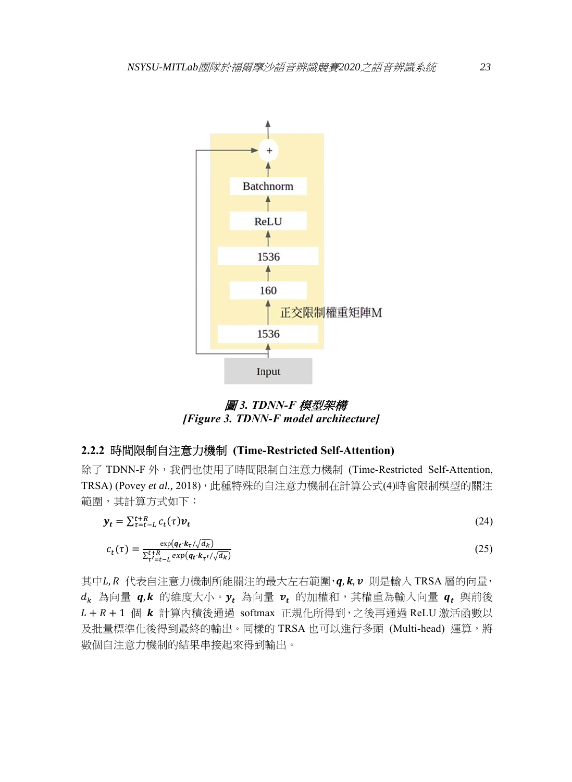

圖 *3. TDNN-F* 模型架構 *[Figure 3. TDNN-F model architecture]* 

## **2.2.2** 時間限制自注意力機制 **(Time-Restricted Self-Attention)**

除了 TDNN-F 外, 我們也使用了時間限制自注意力機制 (Time-Restricted Self-Attention, TRSA) (Povey et al., 2018), 此種特殊的自注意力機制在計算公式(4)時會限制模型的關注 範圍,其計算方式如下:

$$
\mathbf{y}_t = \sum_{\tau=t-L}^{t+R} c_t(\tau) \mathbf{v}_t \tag{24}
$$

$$
c_t(\tau) = \frac{\exp(q_t \cdot k_\tau / \sqrt{d_k})}{\sum_{\tau'=t-L}^{t+R} \exp(q_t \cdot k_{\tau'} / \sqrt{d_k})}
$$
(25)

其中 $L, R$ 代表自注意力機制所能關注的最大左右範圍,  $q, k, \nu$  則是輸入 TRSA 層的向量,  $d_k$  為向量  $q, k$  的维度大小。 $y_t$  為向量  $v_t$  的加權和,其權重為輸入向量  $q_t$  與前後  $L + R + 1$ 個  $k$  計算內積後通過 softmax 正規化所得到,之後再通過 ReLU 激活函數以 及批量標準化後得到最終的輸出。同樣的 TRSA 也可以進行多頭 (Multi-head) 運算,將 數個自注意力機制的結果串接起來得到輸出。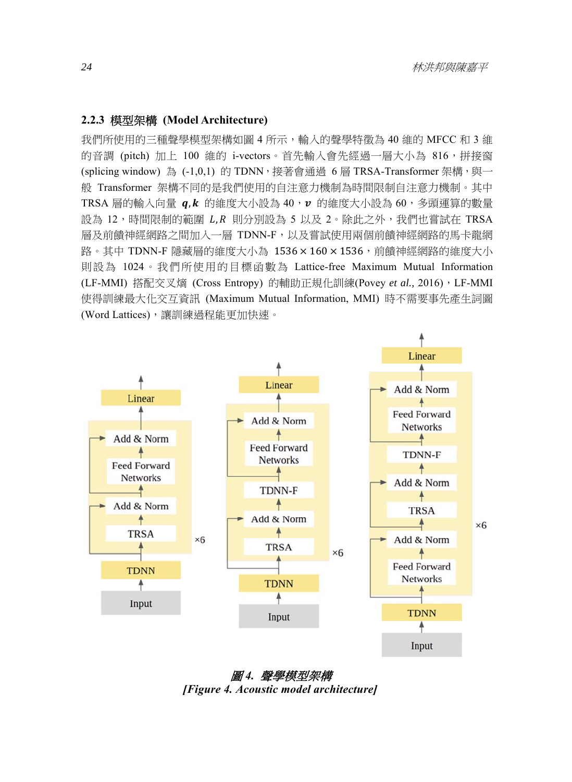# **2.2.3** 模型架構 **(Model Architecture)**

我們所使用的三種聲學模型架構如圖 4 所示,輸入的聲學特徵為 40 維的 MFCC 和 3 維 的音調 (pitch) 加上 100 維的 i-vectors。首先輸入會先經過一層大小為 816,拼接窗 (splicing window)為 (-1.0.1)的 TDNN, 接著會通過 6 層 TRSA-Transformer 架構,與一 般 Transformer 架構不同的是我們使用的自注意力機制為時間限制自注意力機制。其中 TRSA 層的輸入向量  $q, k$  的維度大小設為 40, $\nu$  的維度大小設為 60,多頭運算的數量 設為 12,時間限制的範圍 L,R 則分別設為 5 以及 2。除此之外,我們也嘗試在 TRSA 層及前饋神經網路之間加入一層 TDNN-F,以及嘗試使用兩個前饋神經網路的馬卡龍網 路。其中 TDNN-F 隱藏層的維度大小為  $1536 \times 160 \times 1536$ ,前饋神經網路的維度大小 則設為 1024。我們所使用的目標函數為 Lattice-free Maximum Mutual Information (LF-MMI) 搭配交叉熵 (Cross Entropy) 的輔助正規化訓練(Povey et al., 2016), LF-MMI 使得訓練最大化交互資訊 (Maximum Mutual Information, MMI) 時不需要事先產生詞圖 (Word Lattices),讓訓練過程能更加快速。



圖 *4.* 聲學模型架構 *[Figure 4. Acoustic model architecture]*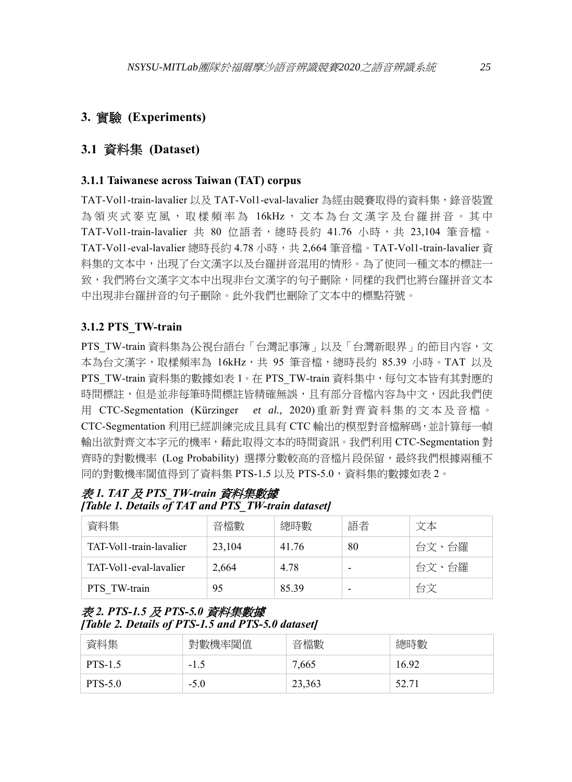# **3.** 實驗 **(Experiments)**

# **3.1** 資料集 **(Dataset)**

#### **3.1.1 Taiwanese across Taiwan (TAT) corpus**

TAT-Vol1-train-lavalier 以及 TAT-Vol1-eval-lavalier 為經由競賽取得的資料集,錄音裝置 為領夾式麥克風,取樣頻率為 16kHz,文本為台文漢字及台羅拼音。其中 TAT-Vol1-train-lavalier 共 80 位語者,總時長約 41.76 小時,共 23,104 筆音檔。 TAT-Vol1-eval-lavalier 總時長約 4.78 小時,共 2,664 筆音檔。TAT-Vol1-train-lavalier 資 料集的文本中,出現了台文漢字以及台羅拼音混用的情形。為了使同一種文本的標註一 致,我們將台文漢字文本中出現非台文漢字的句子刪除,同樣的我們也將台羅拼音文本 中出現非台羅拼音的句子刪除。此外我們也刪除了文本中的標點符號。

#### **3.1.2 PTS\_TW-train**

PTS TW-train 資料集為公視台語台「台灣記事簿」以及「台灣新眼界」的節目內容,文 本為台文漢字,取樣頻率為 16kHz,共 95 筆音檔,總時長約 85.39 小時。TAT 以及 PTS TW-train 資料集的數據如表 1。在 PTS TW-train 資料集中,每句文本皆有其對應的 時間標註,但是並非每筆時間標註皆精確無誤,且有部分音檔內容為中文,因此我們使 用 CTC-Segmentation (Kürzinger *et al.,* 2020) 重新對齊資料集的文本及音檔。 CTC-Segmentation 利用已經訓練完成且具有 CTC 輸出的模型對音檔解碼,並計算每一幀 輸出欲對齊文本字元的機率,藉此取得文本的時間資訊。我們利用 CTC-Segmentation 對 齊時的對數機率 (Log Probability) 選擇分數較高的音檔片段保留,最終我們根據兩種不 同的對數機率閾值得到了資料集 PTS-1.5 以及 PTS-5.0,資料集的數據如表 2。

表 *1. TAT* 及 *PTS\_TW-train* 資料集數據 *[Table 1. Details of TAT and PTS\_TW-train dataset]* 

| 資料集                     | 音檔數    | 總時數   | 語者 | 文本    |
|-------------------------|--------|-------|----|-------|
| TAT-Vol1-train-lavalier | 23,104 | 41.76 | 80 | 台文、台羅 |
| TAT-Voll-eval-lavalier  | 2,664  | 4.78  |    | 台文、台羅 |
| PTS TW-train            | 95     | 8539  |    | 台文    |

## 表 *2. PTS-1.5* 及 *PTS-5.0* 資料集數據 *[Table 2. Details of PTS-1.5 and PTS-5.0 dataset]*

| 資料集            | 對數機率閾值 | 音檔數    | 總時數   |
|----------------|--------|--------|-------|
| <b>PTS-1.5</b> | $-1.5$ | 7,665  | 16.92 |
| <b>PTS-5.0</b> | $-5.0$ | 23,363 | 52.71 |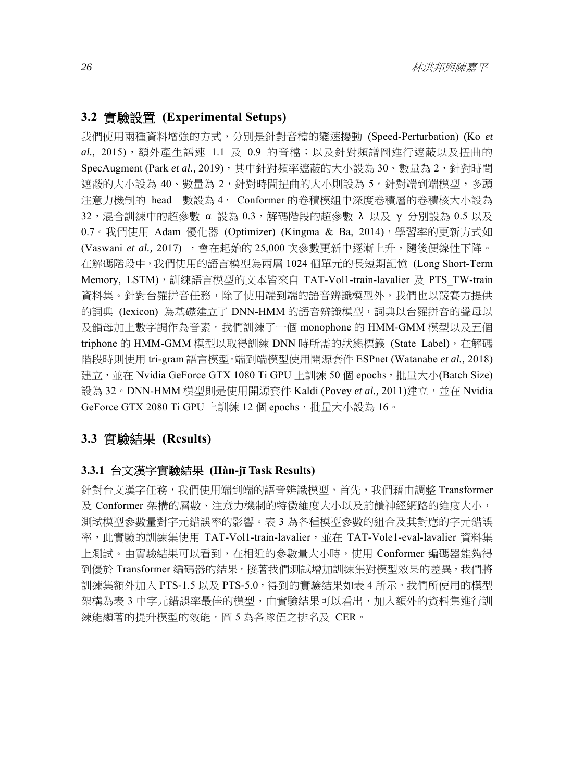#### **3.2** 實驗設置 **(Experimental Setups)**

我們使用兩種資料增強的方式,分別是針對音檔的變速擾動 (Speed-Perturbation) (Ko *et al.,* 2015),額外產生語速 1.1 及 0.9 的音檔;以及針對頻譜圖進行遮蔽以及扭曲的 SpecAugment (Park et al., 2019), 其中針對頻率遮蔽的大小設為 30、數量為 2, 針對時間 遮蔽的大小設為 40、數量為 2,針對時間扭曲的大小則設為 5。針對端到端模型,多頭 注意力機制的 head 數設為 4, Conformer 的卷積模組中深度卷積層的卷積核大小設為  $32$ ,混合訓練中的超參數 α設為  $0.3$ ,解碼階段的超參數 λ 以及 γ 分別設為 0.5 以及 0.7。我們使用 Adam 優化器 (Optimizer) (Kingma & Ba, 2014),學習率的更新方式如 (Vaswani *et al.,* 2017) ,會在起始的 25,000 次參數更新中逐漸上升,隨後便線性下降。 在解碼階段中,我們使用的語言模型為兩層 1024 個單元的長短期記憶 (Long Short-Term Memory, LSTM),訓練語言模型的文本皆來自 TAT-Vol1-train-lavalier 及 PTS\_TW-train 資料集。針對台羅拼音任務,除了使用端到端的語音辨識模型外,我們也以競賽方提供 的詞典 (lexicon)為基礎建立了 DNN-HMM 的語音辨識模型, 詞典以台羅拼音的聲母以 及韻母加上數字調作為音素。我們訓練了一個 monophone 的 HMM-GMM 模型以及五個 triphone 的 HMM-GMM 模型以取得訓練 DNN 時所需的狀態標籤 (State Label), 在解碼 階段時則使用 tri-gram 語言模型。端到端模型使用開源套件 ESPnet (Watanabe *et al.,* 2018) 建立,並在 Nvidia GeForce GTX 1080 Ti GPU 上訓練 50 個 epochs,批量大小(Batch Size) 設為 32。DNN-HMM 模型則是使用開源套件 Kaldi (Povey *et al.,* 2011)建立,並在 Nvidia GeForce GTX 2080 Ti GPU 上訓練 12 個 epochs, 批量大小設為 16。

# **3.3** 實驗結果 **(Results)**

#### **3.3.1** 台文漢字實驗結果 **(Hàn-jī Task Results)**

針對台文漢字任務,我們使用端到端的語音辨識模型。首先,我們藉由調整 Transformer 及 Conformer 架構的層數、注意力機制的特徵維度大小以及前饋神經網路的維度大小, 測試模型參數量對字元錯誤率的影響。表 3 為各種模型參數的組合及其對應的字元錯誤 率,此實驗的訓練集使用 TAT-Vol1-train-lavalier,並在 TAT-Vole1-eval-lavalier 資料集 上測試。由實驗結果可以看到,在相近的參數量大小時,使用 Conformer 編碼器能夠得 到優於 Transformer 編碼器的結果。接著我們測試增加訓練集對模型效果的差異,我們將 訓練集額外加入 PTS-1.5 以及 PTS-5.0, 得到的實驗結果如表 4 所示。我們所使用的模型 架構為表 3 中字元錯誤率最佳的模型,由實驗結果可以看出,加入額外的資料集進行訓 練能顯著的提升模型的效能。圖 5 為各隊伍之排名及 CER。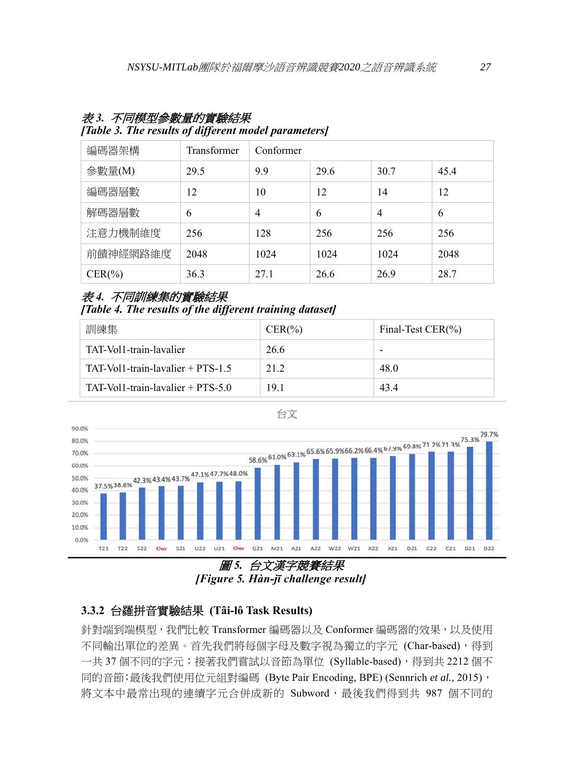| 編碼器架構      | Transformer | Conformer |      |      |      |
|------------|-------------|-----------|------|------|------|
| 參數量(M)     | 29.5        | 9.9       | 29.6 | 30.7 | 45.4 |
| 編碼器層數      | 12          | 10        | 12   | 14   | 12   |
| 解碼器層數      | 6           | 4         | 6    | 4    | 6    |
| 注意力機制維度    | 256         | 128       | 256  | 256  | 256  |
| 前饋神經網路維度   | 2048        | 1024      | 1024 | 1024 | 2048 |
| $CER(\% )$ | 36.3        | 27.1      | 26.6 | 26.9 | 28.7 |

## 表 *3.* 不同模型參數量的實驗結果

#### *[Table 3. The results of different model parameters]*

# 表 *4.* 不同訓練集的實驗結果

*[Table 4. The results of the different training dataset]* 

| 訓練集                                  | $CER(\% )$ | Final-Test $CER(\% )$ |
|--------------------------------------|------------|-----------------------|
| TAT-Vol1-train-lavalier              | 26.6       |                       |
| $TAT-Vol1-train-lavalier + PTS-1.5$  | 21 2       | 48.0                  |
| $TAT-Vol1$ -train-lavalier + PTS-5.0 | 191        | 434                   |

台文





# **3.3.2** 台羅拼音實驗結果 **(Tâi-lô Task Results)**

針對端到端模型,我們比較 Transformer 編碼器以及 Conformer 編碼器的效果,以及使用 不同輸出單位的差異。首先我們將每個字母及數字視為獨立的字元 (Char-based), 得到 一共 37 個不同的字元;接著我們嘗試以音節為單位 (Syllable-based),得到共 2212 個不 同的音節;最後我們使用位元組對編碼 (Byte Pair Encoding, BPE) (Sennrich *et al.,* 2015), 將文本中最常出現的連續字元合併成新的 Subword,最後我們得到共 987 個不同的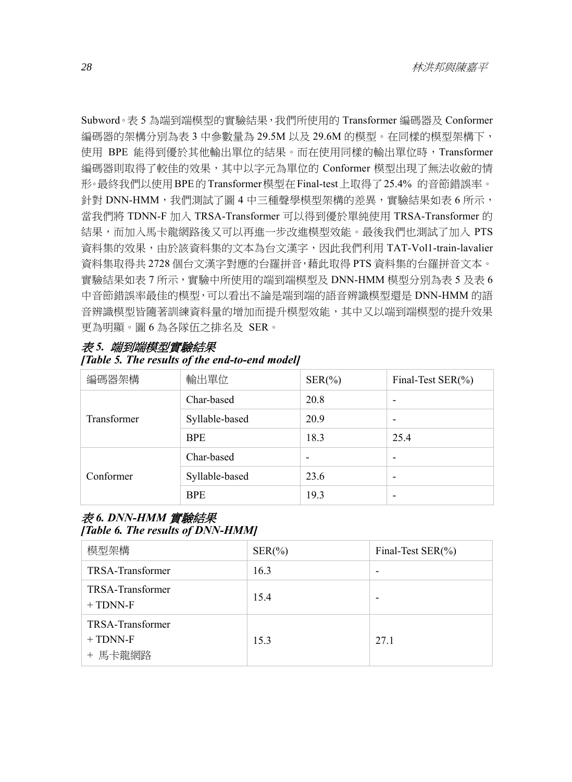Subword。表 5 為端到端模型的實驗結果,我們所使用的 Transformer 編碼器及 Conformer 編碼器的架構分別為表 3 中參數量為 29.5M 以及 29.6M 的模型。在同樣的模型架構下, 使用 BPE 能得到優於其他輸出單位的結果。而在使用同樣的輸出單位時,Transformer 編碼器則取得了較佳的效果,其中以字元為單位的 Conformer 模型出現了無法收斂的情 形。最終我們以使用BPE的Transformer模型在Final-test上取得了25.4% 的音節錯誤率。 針對 DNN-HMM,我們測試了圖 4 中三種聲學模型架構的差異,實驗結果如表 6 所示, 當我們將 TDNN-F 加入 TRSA-Transformer 可以得到優於單純使用 TRSA-Transformer 的 結果,而加入馬卡龍網路後又可以再進一步改進模型效能。最後我們也測試了加入 PTS 資料集的效果,由於該資料集的文本為台文漢字,因此我們利用 TAT-Vol1-train-lavalier 資料集取得共 2728 個台文漢字對應的台羅拼音,藉此取得 PTS 資料集的台羅拼音文本。 實驗結果如表 7 所示,實驗中所使用的端到端模型及 DNN-HMM 模型分別為表 5 及表 6 中音節錯誤率最佳的模型,可以看出不論是端到端的語音辨識模型還是 DNN-HMM 的語 音辨識模型皆隨著訓練資料量的增加而提升模型效能,其中又以端到端模型的提升效果 更為明顯。圖 6 為各隊伍之排名及 SER。

| 編碼器架構       | 輸出單位           | $SER(\%)$ | Final-Test SER(%)        |
|-------------|----------------|-----------|--------------------------|
|             | Char-based     | 20.8      | ۰                        |
| Transformer | Syllable-based | 20.9      | $\overline{\phantom{0}}$ |
|             | <b>BPE</b>     | 18.3      | 25.4                     |
| Conformer   | Char-based     |           | ۰                        |
|             | Syllable-based | 23.6      | $\overline{\phantom{a}}$ |
|             | <b>BPE</b>     | 19.3      | -                        |

## 表 *5.* 端到端模型實驗結果

# *[Table 5. The results of the end-to-end model]*

### 表 *6. DNN-HMM* 實驗結果 *[Table 6. The results of DNN-HMM]*

| 模型架構                                      | $SER(\%)$ | Final-Test SER(%) |
|-------------------------------------------|-----------|-------------------|
| TRSA-Transformer                          | 16.3      |                   |
| TRSA-Transformer<br>$+$ TDNN-F            | 15.4      |                   |
| TRSA-Transformer<br>$+$ TDNN-F<br>+ 馬卡龍網路 | 15.3      | 27.1              |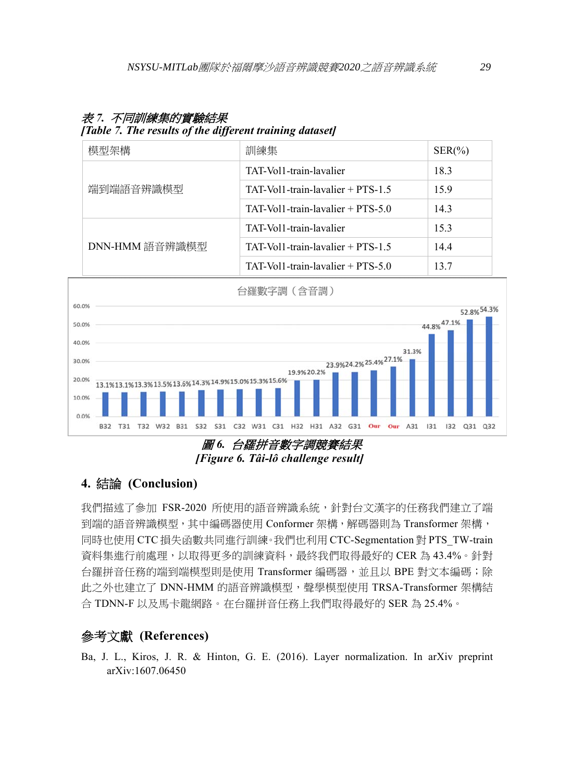| [Table 7, The results of the different training dataset] |                                     |            |  |  |
|----------------------------------------------------------|-------------------------------------|------------|--|--|
| 模型架構                                                     | 訓練集                                 | $SER(\% )$ |  |  |
|                                                          | TAT-Vol1-train-lavalier             | 18.3       |  |  |
| 端到端語音辨識模型                                                | $TAT-Vol1-train-lavalier + PTS-1.5$ | 15.9       |  |  |
|                                                          | $TAT-Vol1-train-lavalier + PTS-5.0$ | 14.3       |  |  |
| DNN-HMM 語音辨識模型                                           | TAT-Vol1-train-lavalier             | 15.3       |  |  |
|                                                          | $TAT-Vol1-train-lavalier + PTS-1.5$ | 14.4       |  |  |
|                                                          | $TAT-Vol1-train-lavalier + PTS-5.0$ | 13.7       |  |  |

# 表 *7.* 不同訓練集的實驗結果

#### *[Table 7. The results of the different training dataset]*



*[Figure 6. Tâi-lô challenge result]* 

## **4.** 結論 **(Conclusion)**

我們描述了參加 FSR-2020 所使用的語音辨識系統,針對台文漢字的任務我們建立了端 到端的語音辨識模型,其中編碼器使用 Conformer 架構,解碼器則為 Transformer 架構, 同時也使用 CTC 損失函數共同進行訓練。我們也利用 CTC-Segmentation 對 PTS\_TW-train 資料集進行前處理,以取得更多的訓練資料,最終我們取得最好的 CER 為 43.4%。針對 台羅拼音任務的端到端模型則是使用 Transformer 編碼器, 並且以 BPE 對文本編碼;除 此之外也建立了 DNN-HMM 的語音辨識模型,聲學模型使用 TRSA-Transformer 架構結 合 TDNN-F 以及馬卡龍網路。在台羅拼音任務上我們取得最好的 SER 為 25.4%。

# 參考文獻 **(References)**

Ba, J. L., Kiros, J. R. & Hinton, G. E. (2016). Layer normalization. In arXiv preprint arXiv:1607.06450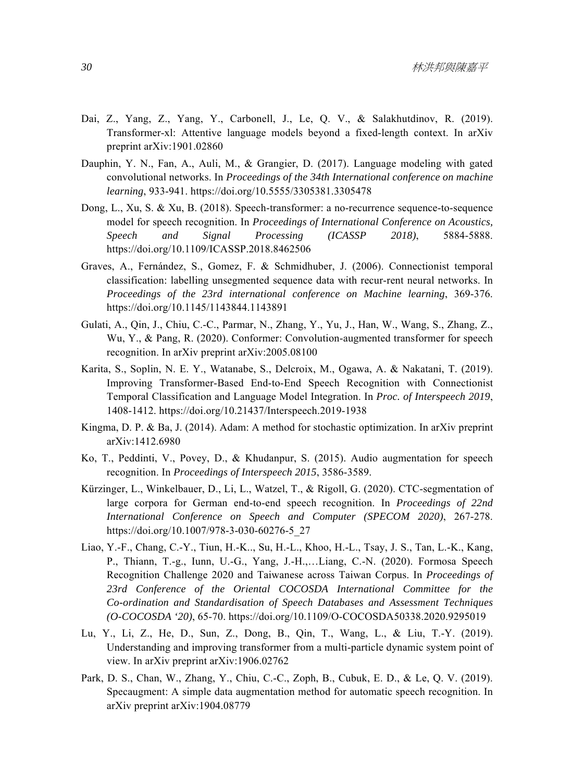- Dai, Z., Yang, Z., Yang, Y., Carbonell, J., Le, Q. V., & Salakhutdinov, R. (2019). Transformer-xl: Attentive language models beyond a fixed-length context. In arXiv preprint arXiv:1901.02860
- Dauphin, Y. N., Fan, A., Auli, M., & Grangier, D. (2017). Language modeling with gated convolutional networks. In *Proceedings of the 34th International conference on machine learning*, 933-941. https://doi.org/10.5555/3305381.3305478
- Dong, L., Xu, S. & Xu, B. (2018). Speech-transformer: a no-recurrence sequence-to-sequence model for speech recognition. In *Proceedings of International Conference on Acoustics, Speech and Signal Processing (ICASSP 2018)*, 5884-5888. https://doi.org/10.1109/ICASSP.2018.8462506
- Graves, A., Fernández, S., Gomez, F. & Schmidhuber, J. (2006). Connectionist temporal classification: labelling unsegmented sequence data with recur-rent neural networks. In *Proceedings of the 23rd international conference on Machine learning*, 369-376. https://doi.org/10.1145/1143844.1143891
- Gulati, A., Qin, J., Chiu, C.-C., Parmar, N., Zhang, Y., Yu, J., Han, W., Wang, S., Zhang, Z., Wu, Y., & Pang, R. (2020). Conformer: Convolution-augmented transformer for speech recognition. In arXiv preprint arXiv:2005.08100
- Karita, S., Soplin, N. E. Y., Watanabe, S., Delcroix, M., Ogawa, A. & Nakatani, T. (2019). Improving Transformer-Based End-to-End Speech Recognition with Connectionist Temporal Classification and Language Model Integration. In *Proc. of Interspeech 2019*, 1408-1412. https://doi.org/10.21437/Interspeech.2019-1938
- Kingma, D. P. & Ba, J. (2014). Adam: A method for stochastic optimization. In arXiv preprint arXiv:1412.6980
- Ko, T., Peddinti, V., Povey, D., & Khudanpur, S. (2015). Audio augmentation for speech recognition. In *Proceedings of Interspeech 2015*, 3586-3589.
- Kürzinger, L., Winkelbauer, D., Li, L., Watzel, T., & Rigoll, G. (2020). CTC-segmentation of large corpora for German end-to-end speech recognition. In *Proceedings of 22nd International Conference on Speech and Computer (SPECOM 2020)*, 267-278. https://doi.org/10.1007/978-3-030-60276-5\_27
- Liao, Y.-F., Chang, C.-Y., Tiun, H.-K.., Su, H.-L., Khoo, H.-L., Tsay, J. S., Tan, L.-K., Kang, P., Thiann, T.-g., Iunn, U.-G., Yang, J.-H.,…Liang, C.-N. (2020). Formosa Speech Recognition Challenge 2020 and Taiwanese across Taiwan Corpus. In *Proceedings of 23rd Conference of the Oriental COCOSDA International Committee for the Co-ordination and Standardisation of Speech Databases and Assessment Techniques (O-COCOSDA '20)*, 65-70. https://doi.org/10.1109/O-COCOSDA50338.2020.9295019
- Lu, Y., Li, Z., He, D., Sun, Z., Dong, B., Qin, T., Wang, L., & Liu, T.-Y. (2019). Understanding and improving transformer from a multi-particle dynamic system point of view. In arXiv preprint arXiv:1906.02762
- Park, D. S., Chan, W., Zhang, Y., Chiu, C.-C., Zoph, B., Cubuk, E. D., & Le, Q. V. (2019). Specaugment: A simple data augmentation method for automatic speech recognition. In arXiv preprint arXiv:1904.08779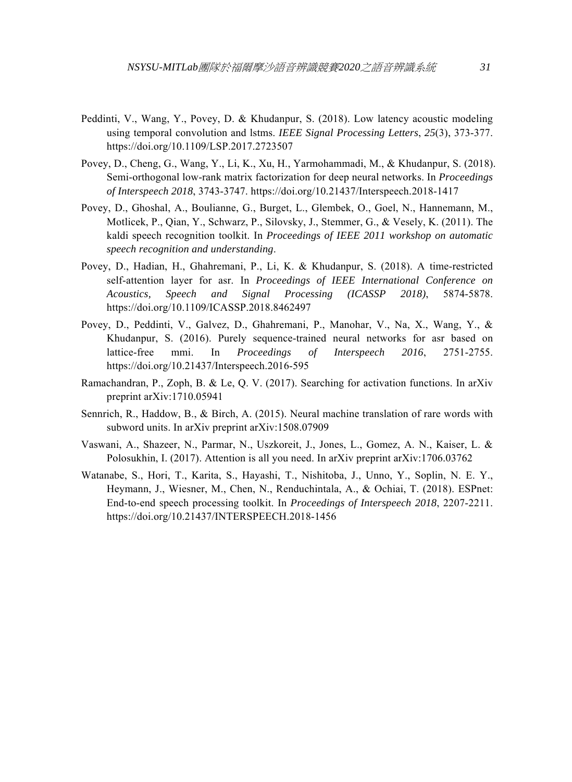- Peddinti, V., Wang, Y., Povey, D. & Khudanpur, S. (2018). Low latency acoustic modeling using temporal convolution and lstms. *IEEE Signal Processing Letters*, *25*(3), 373-377. https://doi.org/10.1109/LSP.2017.2723507
- Povey, D., Cheng, G., Wang, Y., Li, K., Xu, H., Yarmohammadi, M., & Khudanpur, S. (2018). Semi-orthogonal low-rank matrix factorization for deep neural networks. In *Proceedings of Interspeech 2018*, 3743-3747. https://doi.org/10.21437/Interspeech.2018-1417
- Povey, D., Ghoshal, A., Boulianne, G., Burget, L., Glembek, O., Goel, N., Hannemann, M., Motlicek, P., Qian, Y., Schwarz, P., Silovsky, J., Stemmer, G., & Vesely, K. (2011). The kaldi speech recognition toolkit. In *Proceedings of IEEE 2011 workshop on automatic speech recognition and understanding*.
- Povey, D., Hadian, H., Ghahremani, P., Li, K. & Khudanpur, S. (2018). A time-restricted self-attention layer for asr. In *Proceedings of IEEE International Conference on Acoustics, Speech and Signal Processing (ICASSP 2018)*, 5874-5878. https://doi.org/10.1109/ICASSP.2018.8462497
- Povey, D., Peddinti, V., Galvez, D., Ghahremani, P., Manohar, V., Na, X., Wang, Y., & Khudanpur, S. (2016). Purely sequence-trained neural networks for asr based on lattice-free mmi. In *Proceedings of Interspeech 2016*, 2751-2755. https://doi.org/10.21437/Interspeech.2016-595
- Ramachandran, P., Zoph, B. & Le, Q. V. (2017). Searching for activation functions. In arXiv preprint arXiv:1710.05941
- Sennrich, R., Haddow, B., & Birch, A. (2015). Neural machine translation of rare words with subword units. In arXiv preprint arXiv:1508.07909
- Vaswani, A., Shazeer, N., Parmar, N., Uszkoreit, J., Jones, L., Gomez, A. N., Kaiser, L. & Polosukhin, I. (2017). Attention is all you need. In arXiv preprint arXiv:1706.03762
- Watanabe, S., Hori, T., Karita, S., Hayashi, T., Nishitoba, J., Unno, Y., Soplin, N. E. Y., Heymann, J., Wiesner, M., Chen, N., Renduchintala, A., & Ochiai, T. (2018). ESPnet: End-to-end speech processing toolkit. In *Proceedings of Interspeech 2018*, 2207-2211. https://doi.org/10.21437/INTERSPEECH.2018-1456